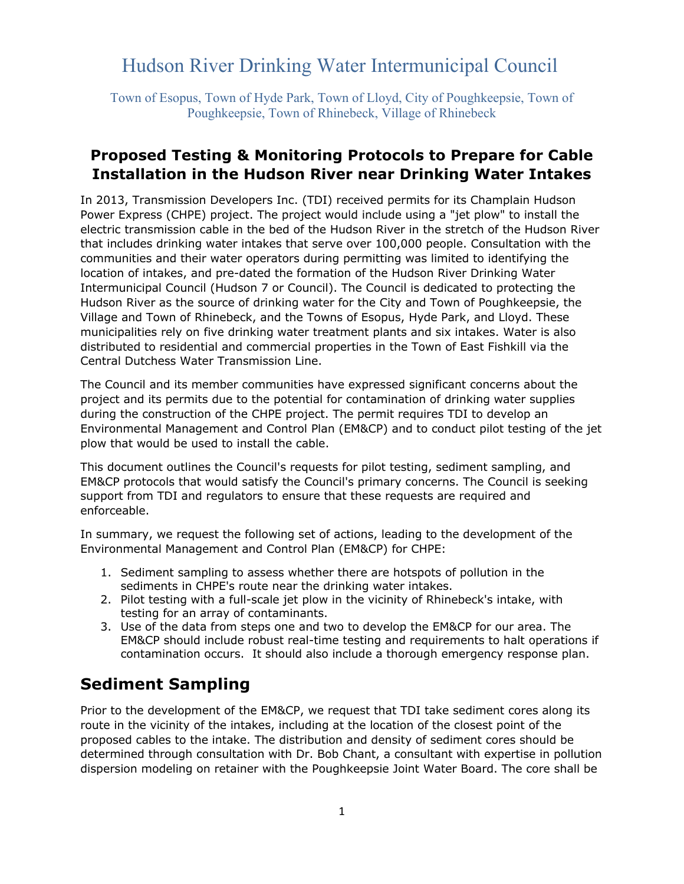# Hudson River Drinking Water Intermunicipal Council

Town of Esopus, Town of Hyde Park, Town of Lloyd, City of Poughkeepsie, Town of Poughkeepsie, Town of Rhinebeck, Village of Rhinebeck

### **Proposed Testing & Monitoring Protocols to Prepare for Cable Installation in the Hudson River near Drinking Water Intakes**

In 2013, Transmission Developers Inc. (TDI) received permits for its Champlain Hudson Power Express (CHPE) project. The project would include using a "jet plow" to install the electric transmission cable in the bed of the Hudson River in the stretch of the Hudson River that includes drinking water intakes that serve over 100,000 people. Consultation with the communities and their water operators during permitting was limited to identifying the location of intakes, and pre-dated the formation of the Hudson River Drinking Water Intermunicipal Council (Hudson 7 or Council). The Council is dedicated to protecting the Hudson River as the source of drinking water for the City and Town of Poughkeepsie, the Village and Town of Rhinebeck, and the Towns of Esopus, Hyde Park, and Lloyd. These municipalities rely on five drinking water treatment plants and six intakes. Water is also distributed to residential and commercial properties in the Town of East Fishkill via the Central Dutchess Water Transmission Line.

The Council and its member communities have expressed significant concerns about the project and its permits due to the potential for contamination of drinking water supplies during the construction of the CHPE project. The permit requires TDI to develop an Environmental Management and Control Plan (EM&CP) and to conduct pilot testing of the jet plow that would be used to install the cable.

This document outlines the Council's requests for pilot testing, sediment sampling, and EM&CP protocols that would satisfy the Council's primary concerns. The Council is seeking support from TDI and regulators to ensure that these requests are required and enforceable.

In summary, we request the following set of actions, leading to the development of the Environmental Management and Control Plan (EM&CP) for CHPE:

- 1. Sediment sampling to assess whether there are hotspots of pollution in the sediments in CHPE's route near the drinking water intakes.
- 2. Pilot testing with a full-scale jet plow in the vicinity of Rhinebeck's intake, with testing for an array of contaminants.
- 3. Use of the data from steps one and two to develop the EM&CP for our area. The EM&CP should include robust real-time testing and requirements to halt operations if contamination occurs. It should also include a thorough emergency response plan.

## **Sediment Sampling**

Prior to the development of the EM&CP, we request that TDI take sediment cores along its route in the vicinity of the intakes, including at the location of the closest point of the proposed cables to the intake. The distribution and density of sediment cores should be determined through consultation with Dr. Bob Chant, a consultant with expertise in pollution dispersion modeling on retainer with the Poughkeepsie Joint Water Board. The core shall be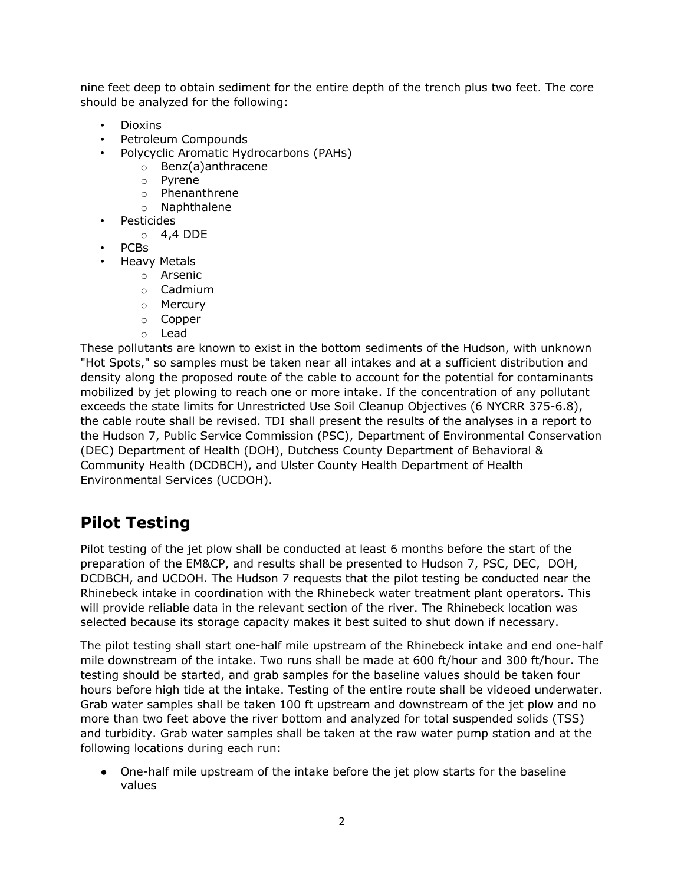nine feet deep to obtain sediment for the entire depth of the trench plus two feet. The core should be analyzed for the following:

- Dioxins
- Petroleum Compounds
- Polycyclic Aromatic Hydrocarbons (PAHs)
	- o Benz(a)anthracene
	- o Pyrene
	- o Phenanthrene
	- o Naphthalene
- Pesticides
	- o 4,4 DDE
- PCBs
- Heavy Metals
	- o Arsenic
	- o Cadmium
	- o Mercury
	- o Copper
	- o Lead

These pollutants are known to exist in the bottom sediments of the Hudson, with unknown "Hot Spots," so samples must be taken near all intakes and at a sufficient distribution and density along the proposed route of the cable to account for the potential for contaminants mobilized by jet plowing to reach one or more intake. If the concentration of any pollutant exceeds the state limits for Unrestricted Use Soil Cleanup Objectives (6 NYCRR 375-6.8), the cable route shall be revised. TDI shall present the results of the analyses in a report to the Hudson 7, Public Service Commission (PSC), Department of Environmental Conservation (DEC) Department of Health (DOH), Dutchess County Department of Behavioral & Community Health (DCDBCH), and Ulster County Health Department of Health Environmental Services (UCDOH).

# **Pilot Testing**

Pilot testing of the jet plow shall be conducted at least 6 months before the start of the preparation of the EM&CP, and results shall be presented to Hudson 7, PSC, DEC, DOH, DCDBCH, and UCDOH. The Hudson 7 requests that the pilot testing be conducted near the Rhinebeck intake in coordination with the Rhinebeck water treatment plant operators. This will provide reliable data in the relevant section of the river. The Rhinebeck location was selected because its storage capacity makes it best suited to shut down if necessary.

The pilot testing shall start one-half mile upstream of the Rhinebeck intake and end one-half mile downstream of the intake. Two runs shall be made at 600 ft/hour and 300 ft/hour. The testing should be started, and grab samples for the baseline values should be taken four hours before high tide at the intake. Testing of the entire route shall be videoed underwater. Grab water samples shall be taken 100 ft upstream and downstream of the jet plow and no more than two feet above the river bottom and analyzed for total suspended solids (TSS) and turbidity. Grab water samples shall be taken at the raw water pump station and at the following locations during each run:

• One-half mile upstream of the intake before the jet plow starts for the baseline values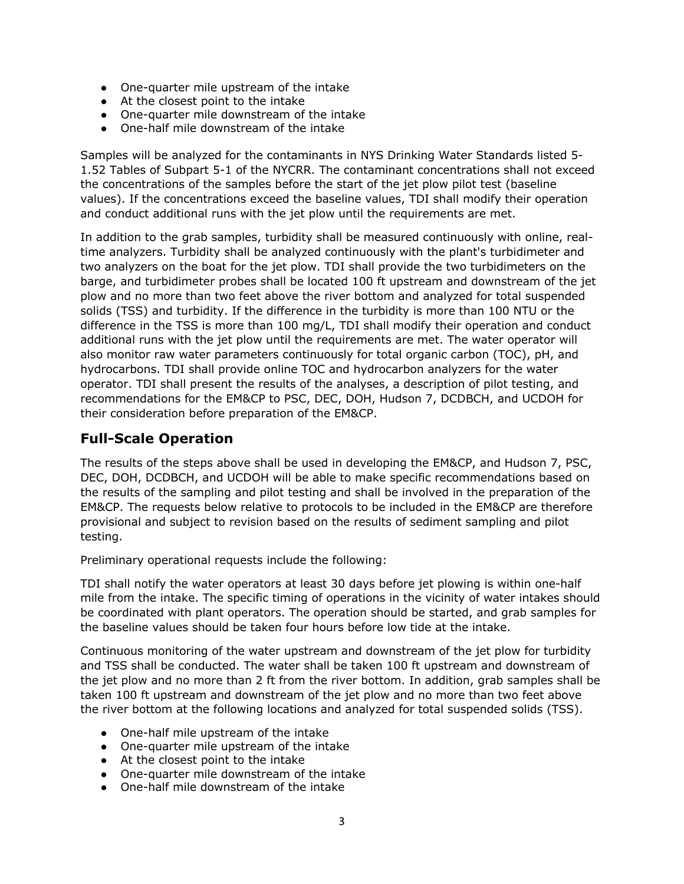- One-quarter mile upstream of the intake
- At the closest point to the intake
- One-quarter mile downstream of the intake
- One-half mile downstream of the intake

Samples will be analyzed for the contaminants in NYS Drinking Water Standards listed 5- 1.52 Tables of Subpart 5-1 of the NYCRR. The contaminant concentrations shall not exceed the concentrations of the samples before the start of the jet plow pilot test (baseline values). If the concentrations exceed the baseline values, TDI shall modify their operation and conduct additional runs with the jet plow until the requirements are met.

In addition to the grab samples, turbidity shall be measured continuously with online, realtime analyzers. Turbidity shall be analyzed continuously with the plant's turbidimeter and two analyzers on the boat for the jet plow. TDI shall provide the two turbidimeters on the barge, and turbidimeter probes shall be located 100 ft upstream and downstream of the jet plow and no more than two feet above the river bottom and analyzed for total suspended solids (TSS) and turbidity. If the difference in the turbidity is more than 100 NTU or the difference in the TSS is more than 100 mg/L, TDI shall modify their operation and conduct additional runs with the jet plow until the requirements are met. The water operator will also monitor raw water parameters continuously for total organic carbon (TOC), pH, and hydrocarbons. TDI shall provide online TOC and hydrocarbon analyzers for the water operator. TDI shall present the results of the analyses, a description of pilot testing, and recommendations for the EM&CP to PSC, DEC, DOH, Hudson 7, DCDBCH, and UCDOH for their consideration before preparation of the EM&CP.

### **Full-Scale Operation**

The results of the steps above shall be used in developing the EM&CP, and Hudson 7, PSC, DEC, DOH, DCDBCH, and UCDOH will be able to make specific recommendations based on the results of the sampling and pilot testing and shall be involved in the preparation of the EM&CP. The requests below relative to protocols to be included in the EM&CP are therefore provisional and subject to revision based on the results of sediment sampling and pilot testing.

Preliminary operational requests include the following:

TDI shall notify the water operators at least 30 days before jet plowing is within one-half mile from the intake. The specific timing of operations in the vicinity of water intakes should be coordinated with plant operators. The operation should be started, and grab samples for the baseline values should be taken four hours before low tide at the intake.

Continuous monitoring of the water upstream and downstream of the jet plow for turbidity and TSS shall be conducted. The water shall be taken 100 ft upstream and downstream of the jet plow and no more than 2 ft from the river bottom. In addition, grab samples shall be taken 100 ft upstream and downstream of the jet plow and no more than two feet above the river bottom at the following locations and analyzed for total suspended solids (TSS).

- One-half mile upstream of the intake
- One-quarter mile upstream of the intake
- At the closest point to the intake
- One-quarter mile downstream of the intake
- One-half mile downstream of the intake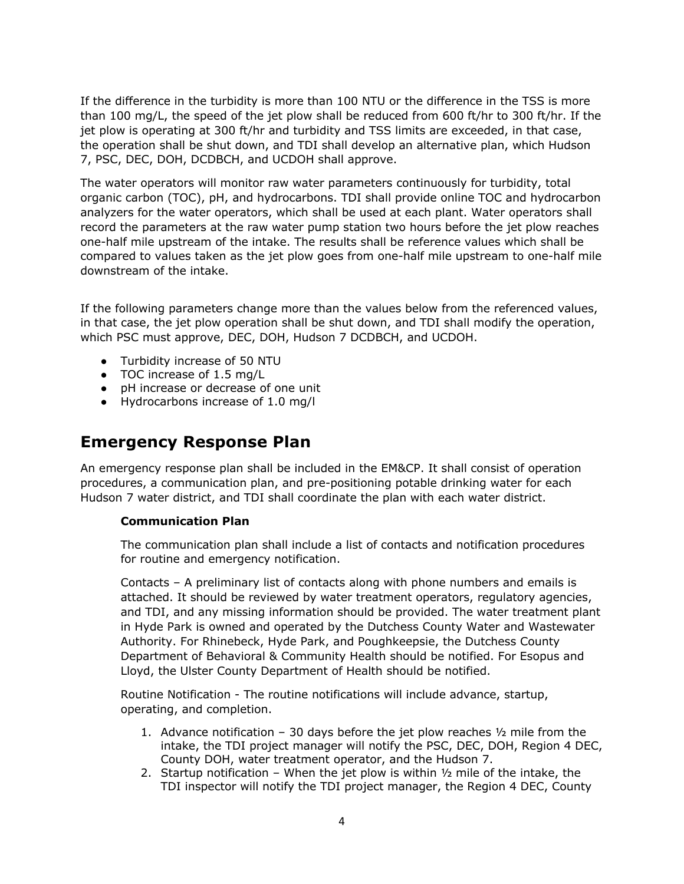If the difference in the turbidity is more than 100 NTU or the difference in the TSS is more than 100 mg/L, the speed of the jet plow shall be reduced from 600 ft/hr to 300 ft/hr. If the jet plow is operating at 300 ft/hr and turbidity and TSS limits are exceeded, in that case, the operation shall be shut down, and TDI shall develop an alternative plan, which Hudson 7, PSC, DEC, DOH, DCDBCH, and UCDOH shall approve.

The water operators will monitor raw water parameters continuously for turbidity, total organic carbon (TOC), pH, and hydrocarbons. TDI shall provide online TOC and hydrocarbon analyzers for the water operators, which shall be used at each plant. Water operators shall record the parameters at the raw water pump station two hours before the jet plow reaches one-half mile upstream of the intake. The results shall be reference values which shall be compared to values taken as the jet plow goes from one-half mile upstream to one-half mile downstream of the intake.

If the following parameters change more than the values below from the referenced values, in that case, the jet plow operation shall be shut down, and TDI shall modify the operation, which PSC must approve, DEC, DOH, Hudson 7 DCDBCH, and UCDOH.

- Turbidity increase of 50 NTU
- TOC increase of 1.5 mg/L
- pH increase or decrease of one unit
- Hydrocarbons increase of 1.0 mg/l

## **Emergency Response Plan**

An emergency response plan shall be included in the EM&CP. It shall consist of operation procedures, a communication plan, and pre-positioning potable drinking water for each Hudson 7 water district, and TDI shall coordinate the plan with each water district.

### **Communication Plan**

The communication plan shall include a list of contacts and notification procedures for routine and emergency notification.

Contacts – A preliminary list of contacts along with phone numbers and emails is attached. It should be reviewed by water treatment operators, regulatory agencies, and TDI, and any missing information should be provided. The water treatment plant in Hyde Park is owned and operated by the Dutchess County Water and Wastewater Authority. For Rhinebeck, Hyde Park, and Poughkeepsie, the Dutchess County Department of Behavioral & Community Health should be notified. For Esopus and Lloyd, the Ulster County Department of Health should be notified.

Routine Notification - The routine notifications will include advance, startup, operating, and completion.

- 1. Advance notification 30 days before the jet plow reaches  $\frac{1}{2}$  mile from the intake, the TDI project manager will notify the PSC, DEC, DOH, Region 4 DEC, County DOH, water treatment operator, and the Hudson 7.
- 2. Startup notification When the jet plow is within  $\frac{1}{2}$  mile of the intake, the TDI inspector will notify the TDI project manager, the Region 4 DEC, County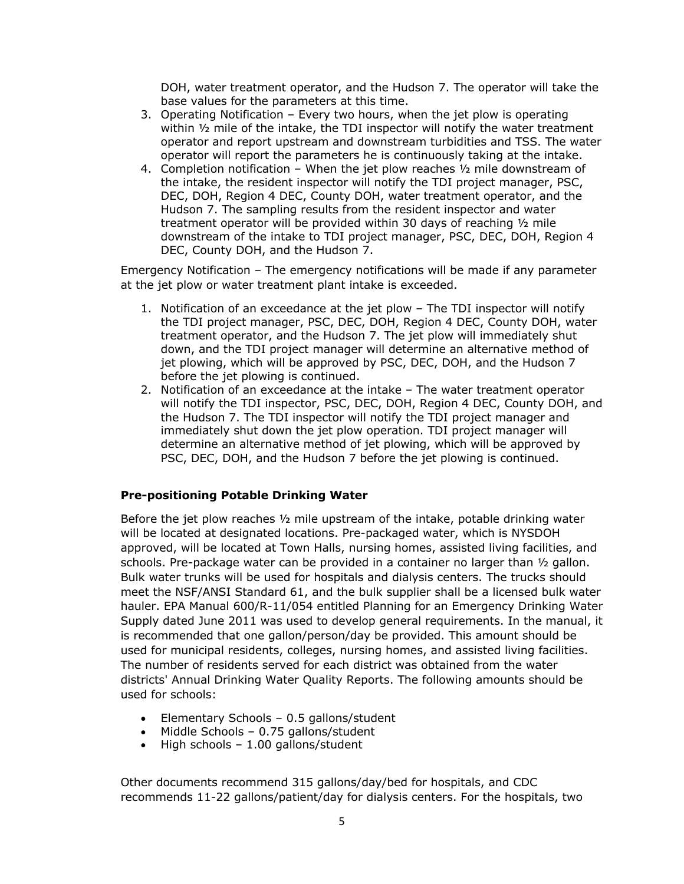DOH, water treatment operator, and the Hudson 7. The operator will take the base values for the parameters at this time.

- 3. Operating Notification Every two hours, when the jet plow is operating within  $\frac{1}{2}$  mile of the intake, the TDI inspector will notify the water treatment operator and report upstream and downstream turbidities and TSS. The water operator will report the parameters he is continuously taking at the intake.
- 4. Completion notification When the jet plow reaches  $\frac{1}{2}$  mile downstream of the intake, the resident inspector will notify the TDI project manager, PSC, DEC, DOH, Region 4 DEC, County DOH, water treatment operator, and the Hudson 7. The sampling results from the resident inspector and water treatment operator will be provided within 30 days of reaching ½ mile downstream of the intake to TDI project manager, PSC, DEC, DOH, Region 4 DEC, County DOH, and the Hudson 7.

Emergency Notification – The emergency notifications will be made if any parameter at the jet plow or water treatment plant intake is exceeded.

- 1. Notification of an exceedance at the jet plow The TDI inspector will notify the TDI project manager, PSC, DEC, DOH, Region 4 DEC, County DOH, water treatment operator, and the Hudson 7. The jet plow will immediately shut down, and the TDI project manager will determine an alternative method of jet plowing, which will be approved by PSC, DEC, DOH, and the Hudson 7 before the jet plowing is continued.
- 2. Notification of an exceedance at the intake The water treatment operator will notify the TDI inspector, PSC, DEC, DOH, Region 4 DEC, County DOH, and the Hudson 7. The TDI inspector will notify the TDI project manager and immediately shut down the jet plow operation. TDI project manager will determine an alternative method of jet plowing, which will be approved by PSC, DEC, DOH, and the Hudson 7 before the jet plowing is continued.

### **Pre-positioning Potable Drinking Water**

Before the jet plow reaches  $\frac{1}{2}$  mile upstream of the intake, potable drinking water will be located at designated locations. Pre-packaged water, which is NYSDOH approved, will be located at Town Halls, nursing homes, assisted living facilities, and schools. Pre-package water can be provided in a container no larger than ½ gallon. Bulk water trunks will be used for hospitals and dialysis centers. The trucks should meet the NSF/ANSI Standard 61, and the bulk supplier shall be a licensed bulk water hauler. EPA Manual 600/R-11/054 entitled Planning for an Emergency Drinking Water Supply dated June 2011 was used to develop general requirements. In the manual, it is recommended that one gallon/person/day be provided. This amount should be used for municipal residents, colleges, nursing homes, and assisted living facilities. The number of residents served for each district was obtained from the water districts' Annual Drinking Water Quality Reports. The following amounts should be used for schools:

- Elementary Schools 0.5 gallons/student
- Middle Schools 0.75 gallons/student
- High schools 1.00 gallons/student

Other documents recommend 315 gallons/day/bed for hospitals, and CDC recommends 11-22 gallons/patient/day for dialysis centers. For the hospitals, two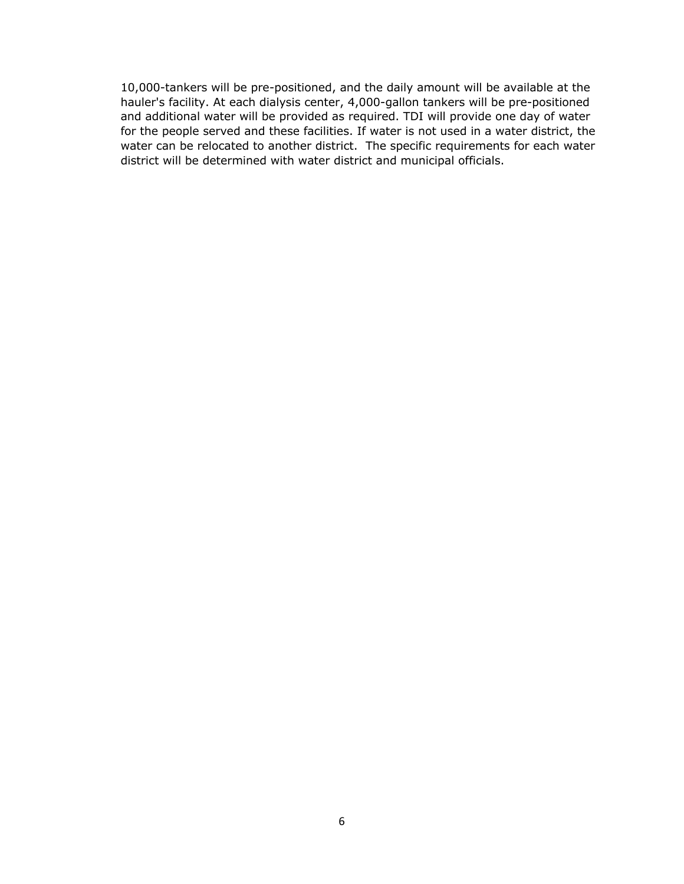10,000-tankers will be pre-positioned, and the daily amount will be available at the hauler's facility. At each dialysis center, 4,000-gallon tankers will be pre-positioned and additional water will be provided as required. TDI will provide one day of water for the people served and these facilities. If water is not used in a water district, the water can be relocated to another district. The specific requirements for each water district will be determined with water district and municipal officials.